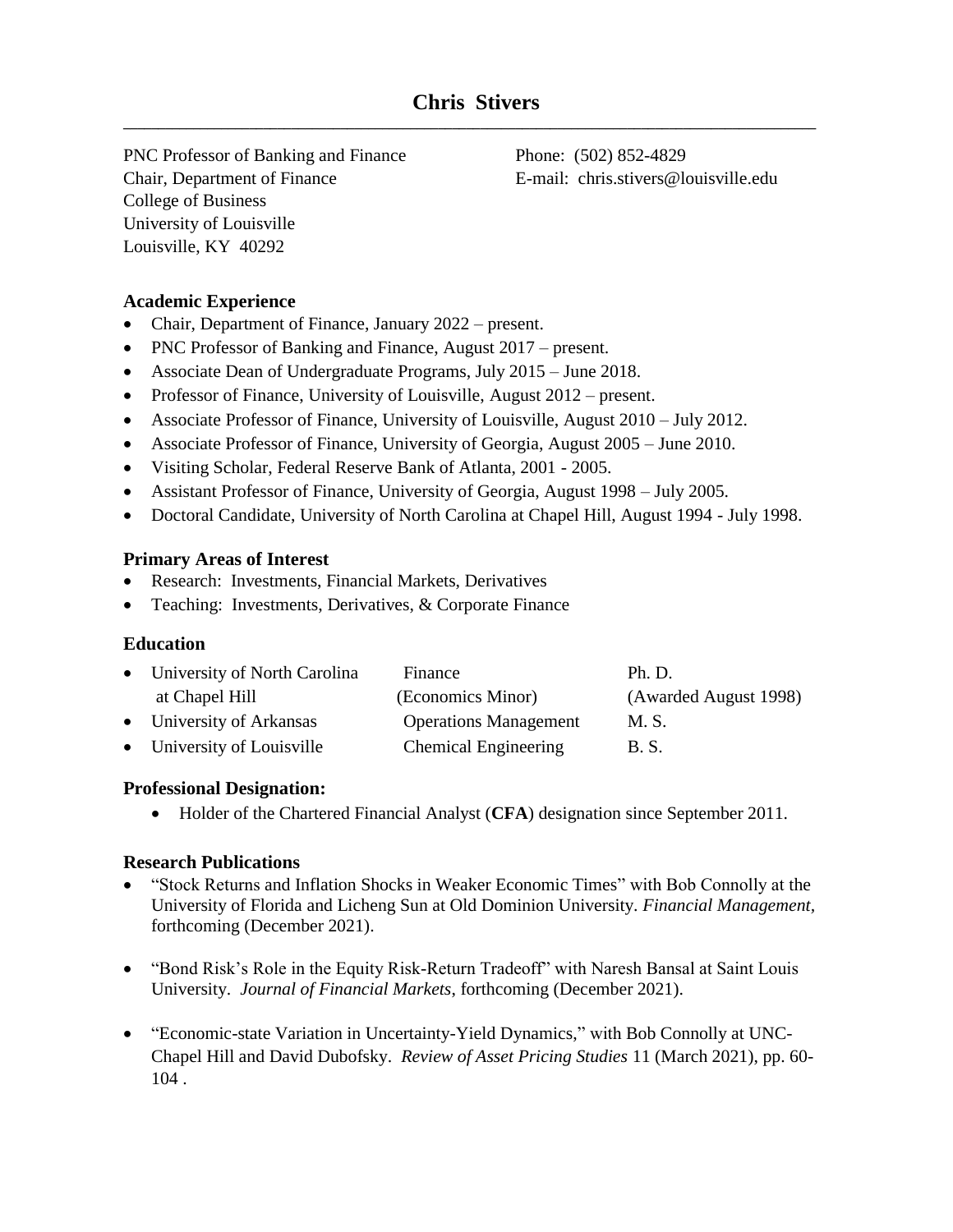PNC Professor of Banking and Finance Phone: (502) 852-4829 Chair, Department of Finance E-mail: chris.stivers@louisville.edu College of Business University of Louisville Louisville, KY 40292

# **Academic Experience**

- Chair, Department of Finance, January 2022 present.
- PNC Professor of Banking and Finance, August 2017 present.
- Associate Dean of Undergraduate Programs, July 2015 June 2018.
- Professor of Finance, University of Louisville, August 2012 present.
- Associate Professor of Finance, University of Louisville, August 2010 July 2012.
- Associate Professor of Finance, University of Georgia, August 2005 June 2010.
- Visiting Scholar, Federal Reserve Bank of Atlanta, 2001 2005.
- Assistant Professor of Finance, University of Georgia, August 1998 July 2005.
- Doctoral Candidate, University of North Carolina at Chapel Hill, August 1994 July 1998.

### **Primary Areas of Interest**

- Research: Investments, Financial Markets, Derivatives
- Teaching: Investments, Derivatives, & Corporate Finance

### **Education**

| • University of North Carolina | Finance                      | Ph. D.                |
|--------------------------------|------------------------------|-----------------------|
| at Chapel Hill                 | (Economics Minor)            | (Awarded August 1998) |
| • University of Arkansas       | <b>Operations Management</b> | M. S.                 |
| • University of Louisville     | <b>Chemical Engineering</b>  | B. S.                 |

### **Professional Designation:**

• Holder of the Chartered Financial Analyst (**CFA**) designation since September 2011.

### **Research Publications**

- "Stock Returns and Inflation Shocks in Weaker Economic Times" with Bob Connolly at the University of Florida and Licheng Sun at Old Dominion University. *Financial Management,*  forthcoming (December 2021).
- "Bond Risk's Role in the Equity Risk-Return Tradeoff" with Naresh Bansal at Saint Louis University. *Journal of Financial Markets*, forthcoming (December 2021).
- "Economic-state Variation in Uncertainty-Yield Dynamics," with Bob Connolly at UNC-Chapel Hill and David Dubofsky. *Review of Asset Pricing Studies* 11 (March 2021), pp. 60- 104 .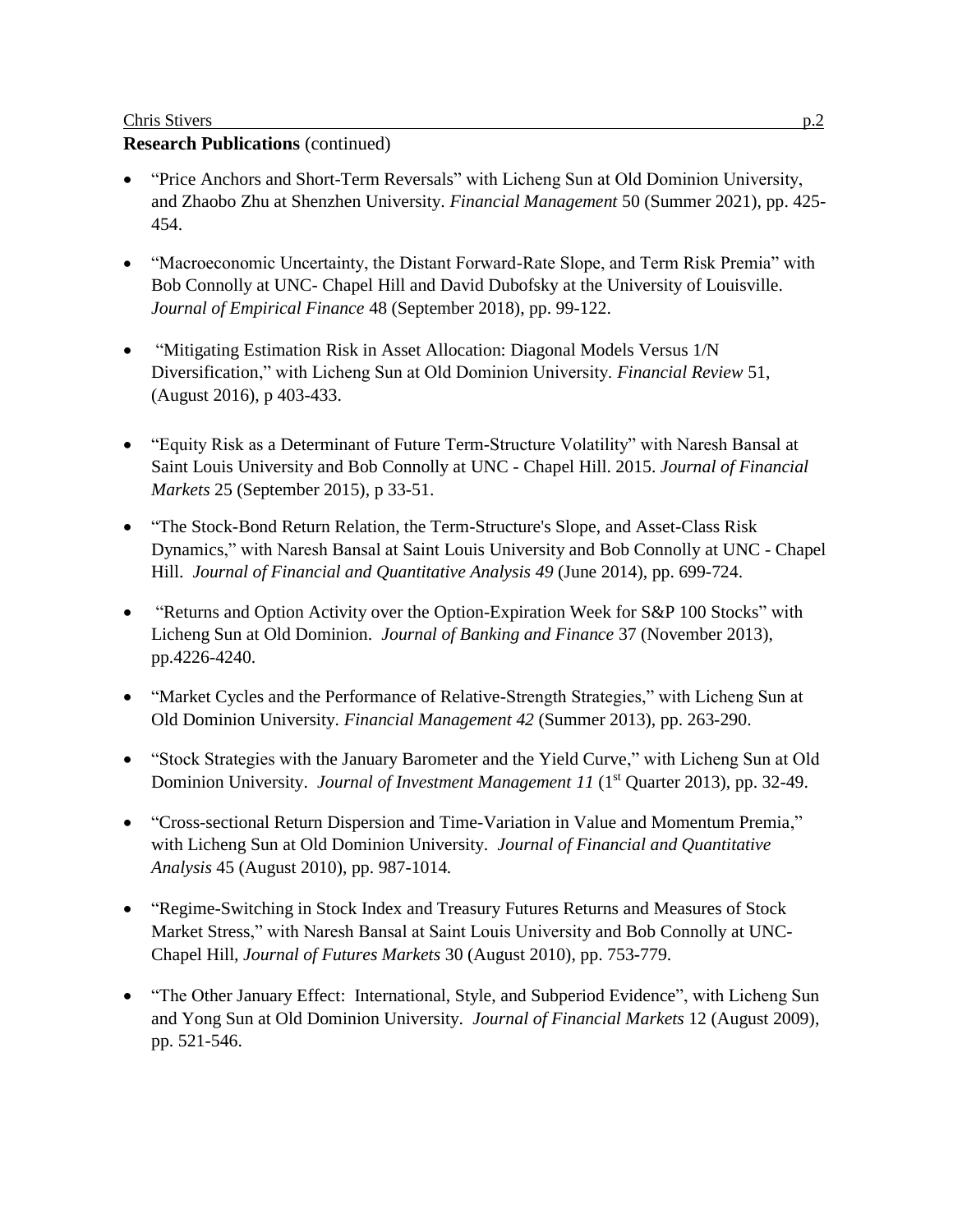### Chris Stivers p.2

## **Research Publications** (continued)

- "Price Anchors and Short-Term Reversals" with Licheng Sun at Old Dominion University, and Zhaobo Zhu at Shenzhen University. *Financial Management* 50 (Summer 2021), pp. 425- 454.
- "Macroeconomic Uncertainty, the Distant Forward-Rate Slope, and Term Risk Premia" with Bob Connolly at UNC- Chapel Hill and David Dubofsky at the University of Louisville. *Journal of Empirical Finance* 48 (September 2018), pp. 99-122.
- "Mitigating Estimation Risk in Asset Allocation: Diagonal Models Versus 1/N Diversification," with Licheng Sun at Old Dominion University. *Financial Review* 51, (August 2016), p 403-433.
- "Equity Risk as a Determinant of Future Term-Structure Volatility" with Naresh Bansal at Saint Louis University and Bob Connolly at UNC - Chapel Hill. 2015. *Journal of Financial Markets* 25 (September 2015), p 33-51.
- "The Stock-Bond Return Relation, the Term-Structure's Slope, and Asset-Class Risk Dynamics," with Naresh Bansal at Saint Louis University and Bob Connolly at UNC - Chapel Hill. *Journal of Financial and Quantitative Analysis 49* (June 2014), pp. 699-724.
- "Returns and Option Activity over the Option-Expiration Week for S&P 100 Stocks" with Licheng Sun at Old Dominion. *Journal of Banking and Finance* 37 (November 2013), pp.4226-4240.
- "Market Cycles and the Performance of Relative-Strength Strategies," with Licheng Sun at Old Dominion University. *Financial Management 42* (Summer 2013), pp. 263-290.
- "Stock Strategies with the January Barometer and the Yield Curve," with Licheng Sun at Old Dominion University. *Journal of Investment Management 11* (1<sup>st</sup> Quarter 2013), pp. 32-49.
- "Cross-sectional Return Dispersion and Time-Variation in Value and Momentum Premia," with Licheng Sun at Old Dominion University. *Journal of Financial and Quantitative Analysis* 45 (August 2010), pp. 987-1014*.*
- "Regime-Switching in Stock Index and Treasury Futures Returns and Measures of Stock Market Stress," with Naresh Bansal at Saint Louis University and Bob Connolly at UNC-Chapel Hill, *Journal of Futures Markets* 30 (August 2010), pp. 753-779.
- "The Other January Effect: International, Style, and Subperiod Evidence", with Licheng Sun and Yong Sun at Old Dominion University. *Journal of Financial Markets* 12 (August 2009), pp. 521-546.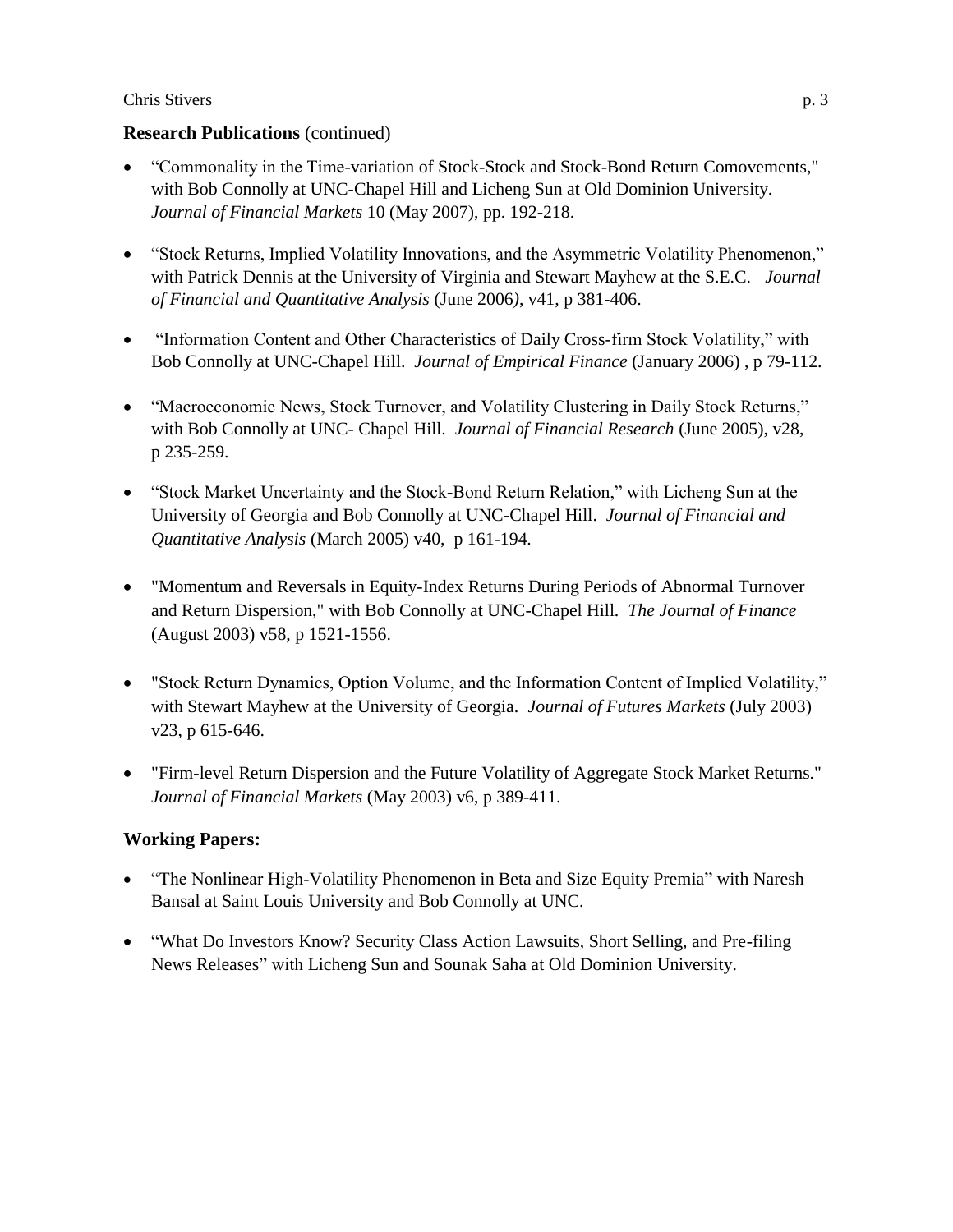### **Research Publications** (continued)

- "Commonality in the Time-variation of Stock-Stock and Stock-Bond Return Comovements," with Bob Connolly at UNC-Chapel Hill and Licheng Sun at Old Dominion University. *Journal of Financial Markets* 10 (May 2007), pp. 192-218.
- "Stock Returns, Implied Volatility Innovations, and the Asymmetric Volatility Phenomenon," with Patrick Dennis at the University of Virginia and Stewart Mayhew at the S.E.C. *Journal of Financial and Quantitative Analysis* (June 2006*)*, v41, p 381-406.
- "Information Content and Other Characteristics of Daily Cross-firm Stock Volatility," with Bob Connolly at UNC-Chapel Hill. *Journal of Empirical Finance* (January 2006) , p 79-112.
- "Macroeconomic News, Stock Turnover, and Volatility Clustering in Daily Stock Returns," with Bob Connolly at UNC- Chapel Hill. *Journal of Financial Research* (June 2005), v28, p 235-259.
- "Stock Market Uncertainty and the Stock-Bond Return Relation," with Licheng Sun at the University of Georgia and Bob Connolly at UNC-Chapel Hill. *Journal of Financial and Quantitative Analysis* (March 2005) v40, p 161-194.
- "Momentum and Reversals in Equity-Index Returns During Periods of Abnormal Turnover and Return Dispersion," with Bob Connolly at UNC-Chapel Hill. *The Journal of Finance*  (August 2003) v58, p 1521-1556.
- "Stock Return Dynamics, Option Volume, and the Information Content of Implied Volatility," with Stewart Mayhew at the University of Georgia. *Journal of Futures Markets* (July 2003) v23, p 615-646.
- "Firm-level Return Dispersion and the Future Volatility of Aggregate Stock Market Returns." *Journal of Financial Markets* (May 2003) v6, p 389-411.

# **Working Papers:**

- "The Nonlinear High-Volatility Phenomenon in Beta and Size Equity Premia" with Naresh Bansal at Saint Louis University and Bob Connolly at UNC.
- "What Do Investors Know? Security Class Action Lawsuits, Short Selling, and Pre-filing News Releases" with Licheng Sun and Sounak Saha at Old Dominion University.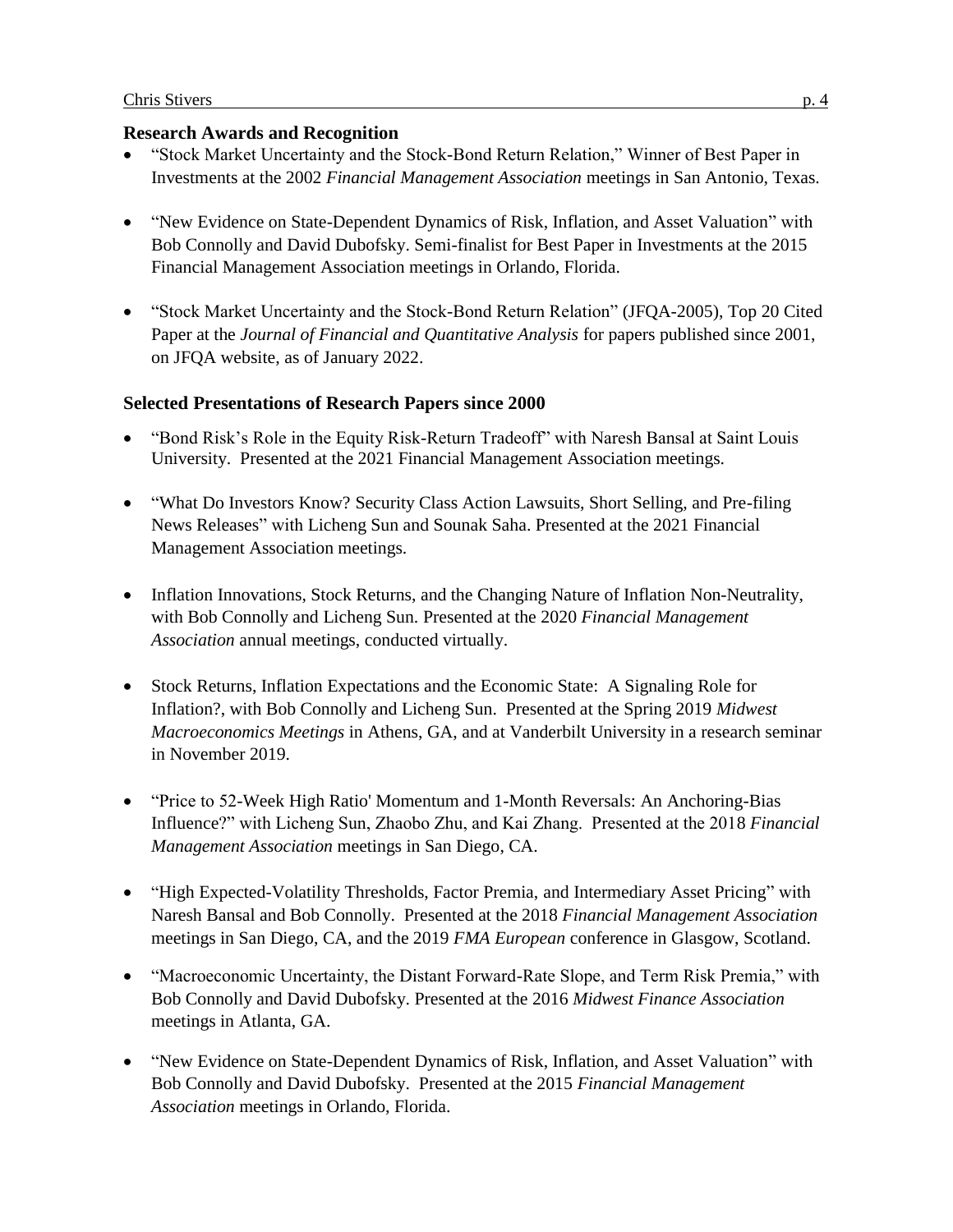### **Research Awards and Recognition**

- "Stock Market Uncertainty and the Stock-Bond Return Relation," Winner of Best Paper in Investments at the 2002 *Financial Management Association* meetings in San Antonio, Texas.
- "New Evidence on State-Dependent Dynamics of Risk, Inflation, and Asset Valuation" with Bob Connolly and David Dubofsky. Semi-finalist for Best Paper in Investments at the 2015 Financial Management Association meetings in Orlando, Florida.
- "Stock Market Uncertainty and the Stock-Bond Return Relation" (JFQA-2005), Top 20 Cited Paper at the *Journal of Financial and Quantitative Analysis* for papers published since 2001, on JFQA website, as of January 2022.

# **Selected Presentations of Research Papers since 2000**

- "Bond Risk's Role in the Equity Risk-Return Tradeoff" with Naresh Bansal at Saint Louis University. Presented at the 2021 Financial Management Association meetings.
- "What Do Investors Know? Security Class Action Lawsuits, Short Selling, and Pre-filing News Releases" with Licheng Sun and Sounak Saha. Presented at the 2021 Financial Management Association meetings.
- Inflation Innovations, Stock Returns, and the Changing Nature of Inflation Non-Neutrality, with Bob Connolly and Licheng Sun. Presented at the 2020 *Financial Management Association* annual meetings, conducted virtually.
- Stock Returns, Inflation Expectations and the Economic State: A Signaling Role for Inflation?, with Bob Connolly and Licheng Sun. Presented at the Spring 2019 *Midwest Macroeconomics Meetings* in Athens, GA, and at Vanderbilt University in a research seminar in November 2019.
- "Price to 52-Week High Ratio' Momentum and 1-Month Reversals: An Anchoring-Bias Influence?" with Licheng Sun, Zhaobo Zhu, and Kai Zhang. Presented at the 2018 *Financial Management Association* meetings in San Diego, CA.
- "High Expected-Volatility Thresholds, Factor Premia, and Intermediary Asset Pricing" with Naresh Bansal and Bob Connolly. Presented at the 2018 *Financial Management Association* meetings in San Diego, CA, and the 2019 *FMA European* conference in Glasgow, Scotland.
- "Macroeconomic Uncertainty, the Distant Forward-Rate Slope, and Term Risk Premia," with Bob Connolly and David Dubofsky. Presented at the 2016 *Midwest Finance Association* meetings in Atlanta, GA.
- "New Evidence on State-Dependent Dynamics of Risk, Inflation, and Asset Valuation" with Bob Connolly and David Dubofsky. Presented at the 2015 *Financial Management Association* meetings in Orlando, Florida.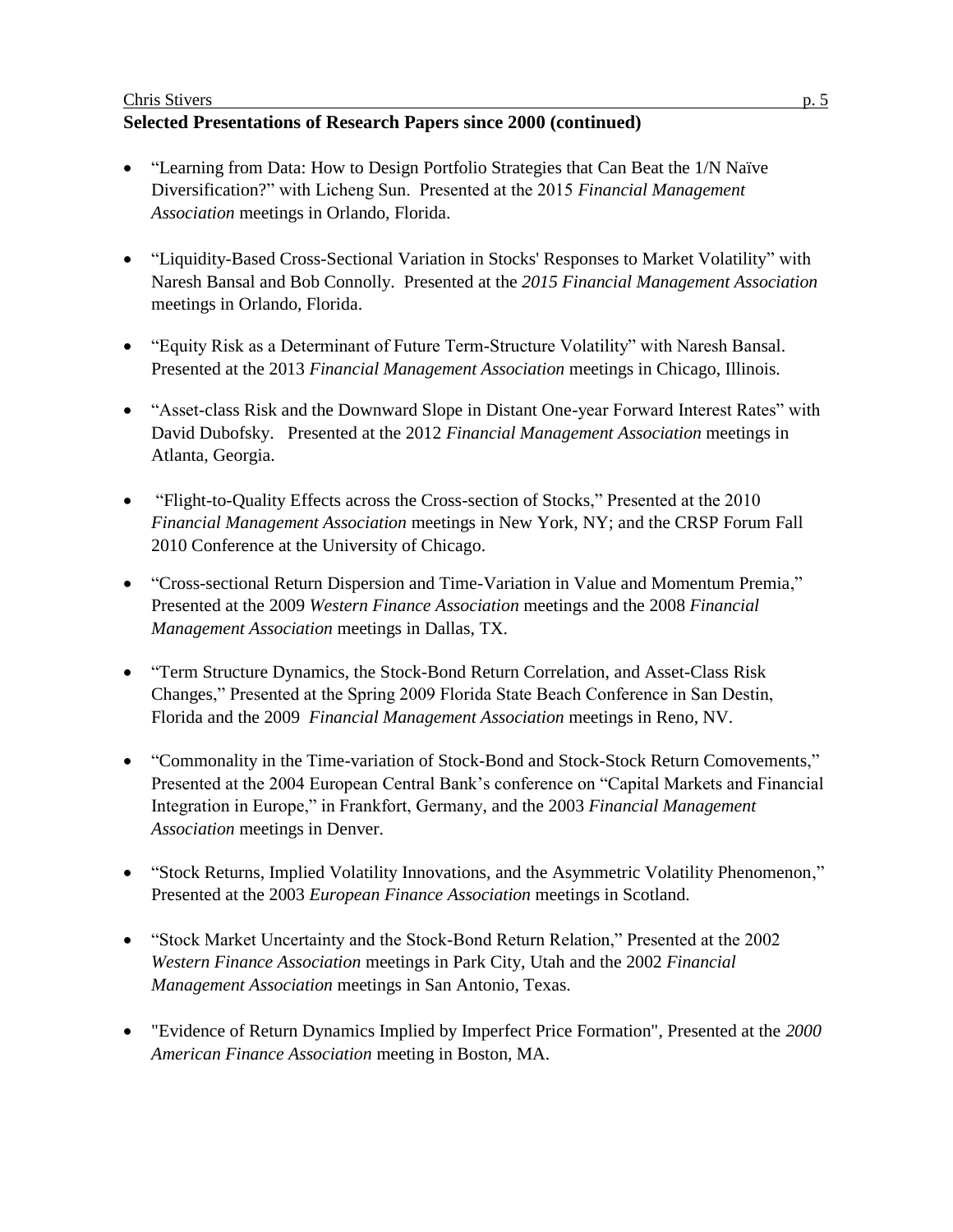#### Chris Stivers p. 5

# **Selected Presentations of Research Papers since 2000 (continued)**

- "Learning from Data: How to Design Portfolio Strategies that Can Beat the 1/N Naïve Diversification?" with Licheng Sun. Presented at the 2015 *Financial Management Association* meetings in Orlando, Florida.
- "Liquidity-Based Cross-Sectional Variation in Stocks' Responses to Market Volatility" with Naresh Bansal and Bob Connolly. Presented at the *2015 Financial Management Association* meetings in Orlando, Florida.
- "Equity Risk as a Determinant of Future Term-Structure Volatility" with Naresh Bansal. Presented at the 2013 *Financial Management Association* meetings in Chicago, Illinois.
- "Asset-class Risk and the Downward Slope in Distant One-year Forward Interest Rates" with David Dubofsky. Presented at the 2012 *Financial Management Association* meetings in Atlanta, Georgia.
- "Flight-to-Quality Effects across the Cross-section of Stocks," Presented at the 2010 *Financial Management Association* meetings in New York, NY; and the CRSP Forum Fall 2010 Conference at the University of Chicago.
- "Cross-sectional Return Dispersion and Time-Variation in Value and Momentum Premia," Presented at the 2009 *Western Finance Association* meetings and the 2008 *Financial Management Association* meetings in Dallas, TX.
- "Term Structure Dynamics, the Stock-Bond Return Correlation, and Asset-Class Risk Changes," Presented at the Spring 2009 Florida State Beach Conference in San Destin, Florida and the 2009 *Financial Management Association* meetings in Reno, NV.
- "Commonality in the Time-variation of Stock-Bond and Stock-Stock Return Comovements," Presented at the 2004 European Central Bank's conference on "Capital Markets and Financial Integration in Europe," in Frankfort, Germany, and the 2003 *Financial Management Association* meetings in Denver.
- "Stock Returns, Implied Volatility Innovations, and the Asymmetric Volatility Phenomenon," Presented at the 2003 *European Finance Association* meetings in Scotland.
- "Stock Market Uncertainty and the Stock-Bond Return Relation," Presented at the 2002 *Western Finance Association* meetings in Park City, Utah and the 2002 *Financial Management Association* meetings in San Antonio, Texas.
- "Evidence of Return Dynamics Implied by Imperfect Price Formation", Presented at the *2000 American Finance Association* meeting in Boston, MA.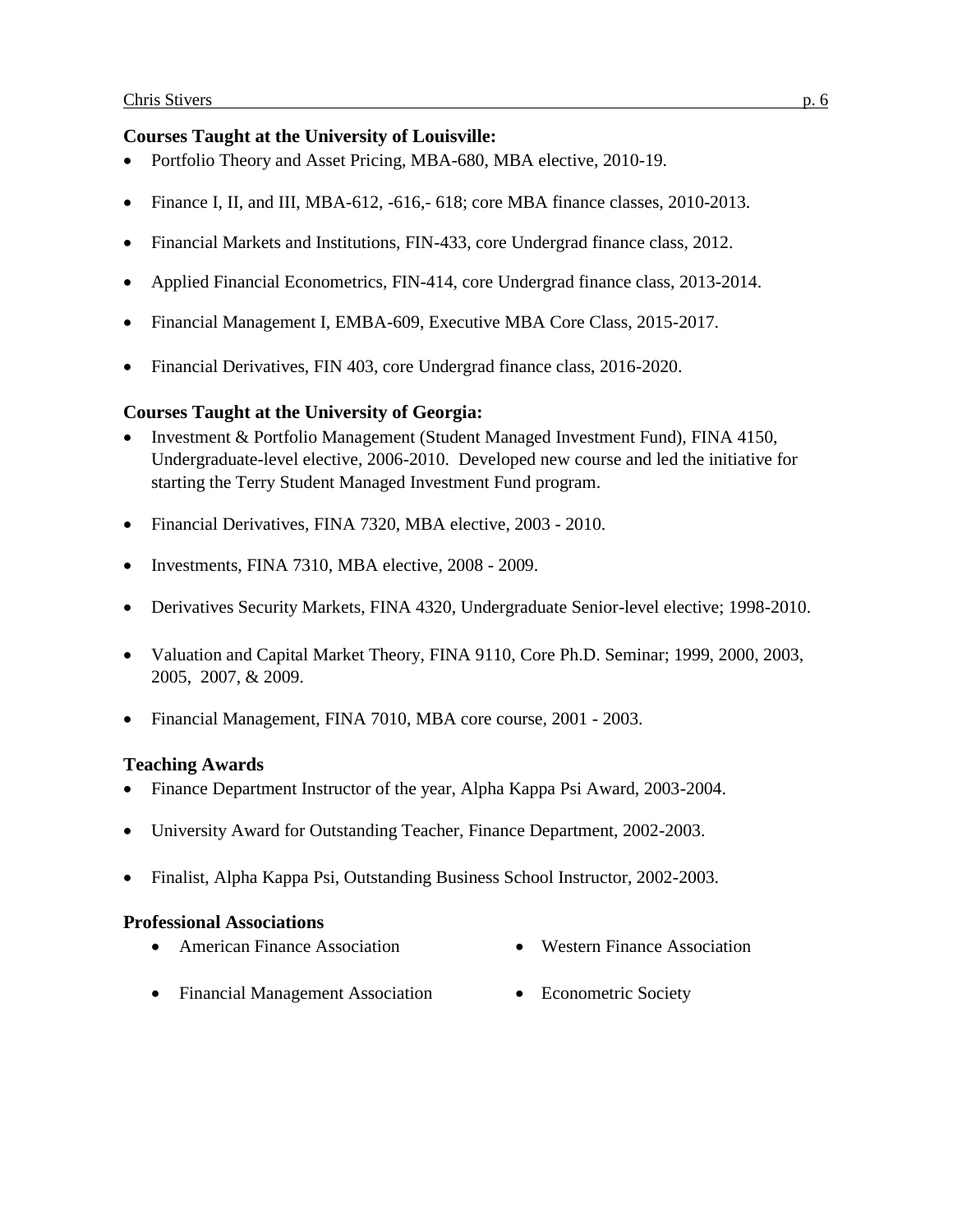## **Courses Taught at the University of Louisville:**

- Portfolio Theory and Asset Pricing, MBA-680, MBA elective, 2010-19.
- Finance I, II, and III, MBA-612, -616, -618; core MBA finance classes,  $2010-2013$ .
- Financial Markets and Institutions, FIN-433, core Undergrad finance class, 2012.
- Applied Financial Econometrics, FIN-414, core Undergrad finance class, 2013-2014.
- Financial Management I, EMBA-609, Executive MBA Core Class, 2015-2017.
- Financial Derivatives, FIN 403, core Undergrad finance class, 2016-2020.

### **Courses Taught at the University of Georgia:**

- Investment & Portfolio Management (Student Managed Investment Fund), FINA 4150, Undergraduate-level elective, 2006-2010. Developed new course and led the initiative for starting the Terry Student Managed Investment Fund program.
- Financial Derivatives, FINA 7320, MBA elective, 2003 2010.
- Investments, FINA 7310, MBA elective, 2008 2009.
- Derivatives Security Markets, FINA 4320, Undergraduate Senior-level elective; 1998-2010.
- Valuation and Capital Market Theory, FINA 9110, Core Ph.D. Seminar; 1999, 2000, 2003, 2005, 2007, & 2009.
- Financial Management, FINA 7010, MBA core course, 2001 2003.

# **Teaching Awards**

- Finance Department Instructor of the year, Alpha Kappa Psi Award, 2003-2004.
- University Award for Outstanding Teacher, Finance Department, 2002-2003.
- Finalist, Alpha Kappa Psi, Outstanding Business School Instructor, 2002-2003.

### **Professional Associations**

- American Finance Association Western Finance Association
- 
- Financial Management Association Econometric Society
-